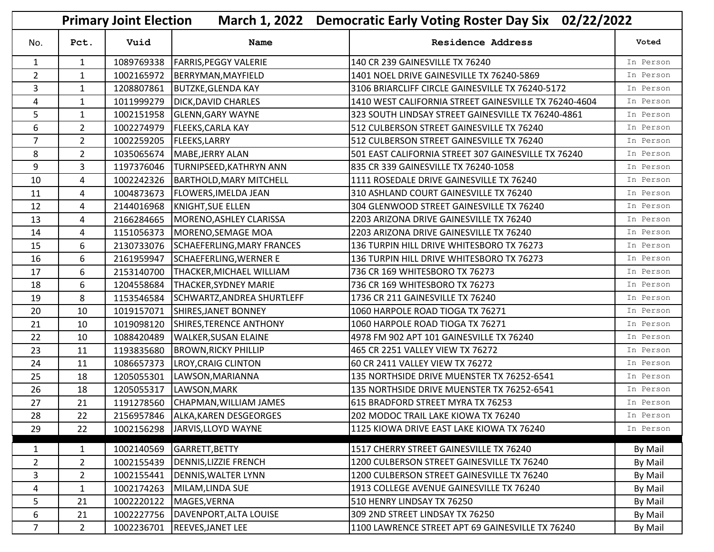| March 1, 2022 Democratic Early Voting Roster Day Six 02/22/2022<br><b>Primary Joint Election</b> |                |            |                                     |                                                       |           |
|--------------------------------------------------------------------------------------------------|----------------|------------|-------------------------------------|-------------------------------------------------------|-----------|
| No.                                                                                              | Pct.           | Vuid       | <b>Name</b>                         | <b>Residence Address</b>                              | Voted     |
| $\mathbf{1}$                                                                                     | $\mathbf{1}$   |            | 1089769338   FARRIS, PEGGY VALERIE  | 140 CR 239 GAINESVILLE TX 76240                       | In Person |
| $\overline{2}$                                                                                   | $\mathbf{1}$   | 1002165972 | BERRYMAN, MAYFIELD                  | 1401 NOEL DRIVE GAINESVILLE TX 76240-5869             | In Person |
| 3                                                                                                | 1              | 1208807861 | <b>BUTZKE, GLENDA KAY</b>           | 3106 BRIARCLIFF CIRCLE GAINESVILLE TX 76240-5172      | In Person |
| 4                                                                                                | $\mathbf{1}$   | 1011999279 | <b>DICK, DAVID CHARLES</b>          | 1410 WEST CALIFORNIA STREET GAINESVILLE TX 76240-4604 | In Person |
| 5                                                                                                | $\mathbf 1$    | 1002151958 | <b>GLENN, GARY WAYNE</b>            | 323 SOUTH LINDSAY STREET GAINESVILLE TX 76240-4861    | In Person |
| 6                                                                                                | 2 <sup>1</sup> | 1002274979 | <b>FLEEKS, CARLA KAY</b>            | 512 CULBERSON STREET GAINESVILLE TX 76240             | In Person |
| $\overline{7}$                                                                                   | $\overline{2}$ | 1002259205 | <b>FLEEKS, LARRY</b>                | 512 CULBERSON STREET GAINESVILLE TX 76240             | In Person |
| 8                                                                                                | $\overline{2}$ | 1035065674 | MABE, JERRY ALAN                    | 501 EAST CALIFORNIA STREET 307 GAINESVILLE TX 76240   | In Person |
| 9                                                                                                | 3              | 1197376046 | <b>TURNIPSEED, KATHRYN ANN</b>      | 835 CR 339 GAINESVILLE TX 76240-1058                  | In Person |
| 10                                                                                               | 4              | 1002242326 | BARTHOLD, MARY MITCHELL             | 1111 ROSEDALE DRIVE GAINESVILLE TX 76240              | In Person |
| 11                                                                                               | 4              | 1004873673 | <b>FLOWERS, IMELDA JEAN</b>         | 310 ASHLAND COURT GAINESVILLE TX 76240                | In Person |
| 12                                                                                               | 4              | 2144016968 | KNIGHT, SUE ELLEN                   | 304 GLENWOOD STREET GAINESVILLE TX 76240              | In Person |
| 13                                                                                               | 4              | 2166284665 | MORENO, ASHLEY CLARISSA             | 2203 ARIZONA DRIVE GAINESVILLE TX 76240               | In Person |
| 14                                                                                               | 4              | 1151056373 | MORENO, SEMAGE MOA                  | 2203 ARIZONA DRIVE GAINESVILLE TX 76240               | In Person |
| 15                                                                                               | 6              | 2130733076 | SCHAEFERLING, MARY FRANCES          | 136 TURPIN HILL DRIVE WHITESBORO TX 76273             | In Person |
| 16                                                                                               | 6              | 2161959947 | SCHAEFERLING, WERNER E              | 136 TURPIN HILL DRIVE WHITESBORO TX 76273             | In Person |
| 17                                                                                               | 6              | 2153140700 | THACKER, MICHAEL WILLIAM            | 736 CR 169 WHITESBORO TX 76273                        | In Person |
| 18                                                                                               | 6              | 1204558684 | <b>THACKER, SYDNEY MARIE</b>        | 736 CR 169 WHITESBORO TX 76273                        | In Person |
| 19                                                                                               | 8              | 1153546584 | SCHWARTZ, ANDREA SHURTLEFF          | 1736 CR 211 GAINESVILLE TX 76240                      | In Person |
| 20                                                                                               | 10             | 1019157071 | SHIRES, JANET BONNEY                | 1060 HARPOLE ROAD TIOGA TX 76271                      | In Person |
| 21                                                                                               | 10             | 1019098120 | SHIRES, TERENCE ANTHONY             | 1060 HARPOLE ROAD TIOGA TX 76271                      | In Person |
| 22                                                                                               | 10             | 1088420489 | <b>WALKER, SUSAN ELAINE</b>         | 4978 FM 902 APT 101 GAINESVILLE TX 76240              | In Person |
| 23                                                                                               | 11             | 1193835680 | <b>BROWN, RICKY PHILLIP</b>         | 465 CR 2251 VALLEY VIEW TX 76272                      | In Person |
| 24                                                                                               | 11             | 1086657373 | LROY, CRAIG CLINTON                 | 60 CR 2411 VALLEY VIEW TX 76272                       | In Person |
| 25                                                                                               | 18             | 1205055301 | LAWSON, MARIANNA                    | 135 NORTHSIDE DRIVE MUENSTER TX 76252-6541            | In Person |
| 26                                                                                               | 18             | 1205055317 | LAWSON, MARK                        | 135 NORTHSIDE DRIVE MUENSTER TX 76252-6541            | In Person |
| 27                                                                                               | 21             | 1191278560 | CHAPMAN, WILLIAM JAMES              | 615 BRADFORD STREET MYRA TX 76253                     | In Person |
| 28                                                                                               | 22             |            | 2156957846   ALKA, KAREN DESGEORGES | 202 MODOC TRAIL LAKE KIOWA TX 76240                   | In Person |
| 29                                                                                               | 22             | 1002156298 | JARVIS, LLOYD WAYNE                 | 1125 KIOWA DRIVE EAST LAKE KIOWA TX 76240             | In Person |
|                                                                                                  |                |            |                                     |                                                       |           |
| 1                                                                                                | $\mathbf{1}$   | 1002140569 | GARRETT, BETTY                      | 1517 CHERRY STREET GAINESVILLE TX 76240               | By Mail   |
| $\overline{2}$                                                                                   | $\overline{2}$ | 1002155439 | <b>DENNIS, LIZZIE FRENCH</b>        | 1200 CULBERSON STREET GAINESVILLE TX 76240            | By Mail   |
| 3                                                                                                | $\overline{2}$ | 1002155441 | DENNIS, WALTER LYNN                 | 1200 CULBERSON STREET GAINESVILLE TX 76240            | By Mail   |
| 4                                                                                                | 1              | 1002174263 | MILAM, LINDA SUE                    | 1913 COLLEGE AVENUE GAINESVILLE TX 76240              | By Mail   |
| 5                                                                                                | 21             | 1002220122 | MAGES, VERNA                        | 510 HENRY LINDSAY TX 76250                            | By Mail   |
| 6                                                                                                | 21             | 1002227756 | DAVENPORT, ALTA LOUISE              | 309 2ND STREET LINDSAY TX 76250                       | By Mail   |
| 7 <sup>1</sup>                                                                                   | 2 <sup>1</sup> | 1002236701 | <b>REEVES, JANET LEE</b>            | 1100 LAWRENCE STREET APT 69 GAINESVILLE TX 76240      | By Mail   |